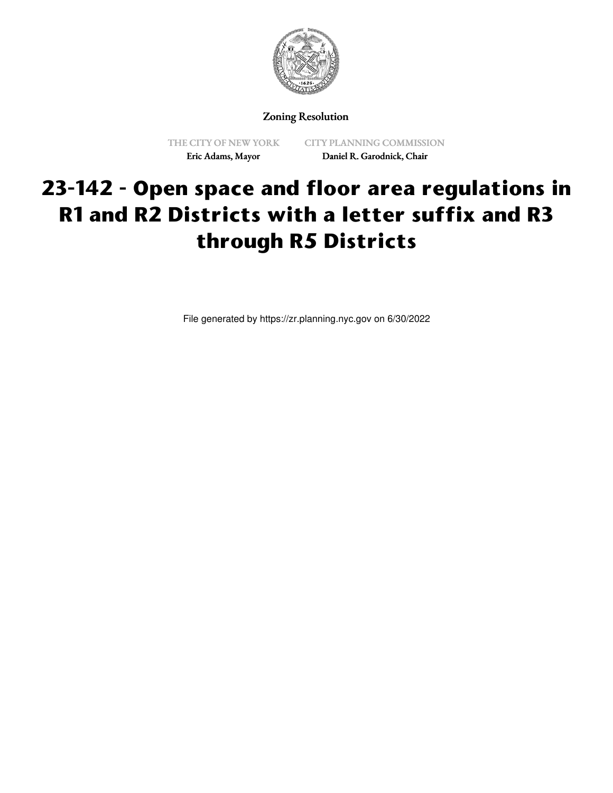

## Zoning Resolution

THE CITY OF NEW YORK Eric Adams, Mayor

CITY PLANNING COMMISSION Daniel R. Garodnick, Chair

## **23-142 - Open space and floor area regulations in R1 and R2 Districts with a letter suffix and R3 through R5 Districts**

File generated by https://zr.planning.nyc.gov on 6/30/2022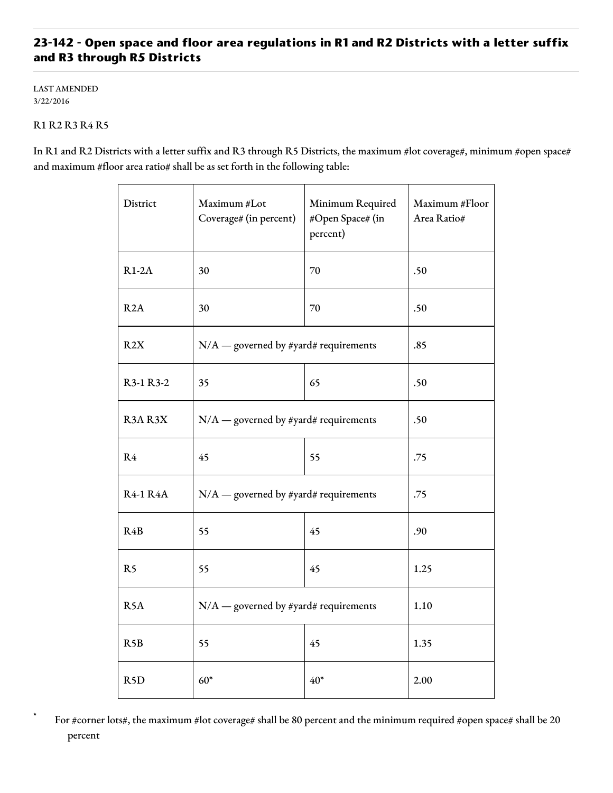## **23-142 - Open space and floor area regulations in R1 and R2 Districts with a letter suffix and R3 through R5 Districts**

LAST AMENDED 3/22/2016

## R1 R2 R3 R4 R5

In R1 and R2 Districts with a letter suffix and R3 through R5 Districts, the maximum #lot coverage#, minimum #open space# and maximum #floor area ratio# shall be as set forth in the following table:

| District         | Maximum #Lot<br>Coverage# (in percent)  | Minimum Required<br>#Open Space# (in<br>percent) | Maximum #Floor<br>Area Ratio# |
|------------------|-----------------------------------------|--------------------------------------------------|-------------------------------|
| $R1-2A$          | 30                                      | 70                                               | .50                           |
| R2A              | 30                                      | 70                                               | .50                           |
| R2X              | $N/A$ — governed by #yard# requirements |                                                  | .85                           |
| R3-1 R3-2        | 35                                      | 65                                               | .50                           |
| R3AR3X           | $N/A$ — governed by #yard# requirements |                                                  | .50                           |
| R <sub>4</sub>   | 45                                      | 55                                               | .75                           |
| <b>R4-1 R4A</b>  | $N/A$ — governed by #yard# requirements |                                                  | .75                           |
| R <sub>4</sub> B | 55                                      | 45                                               | .90                           |
| R <sub>5</sub>   | 55                                      | 45                                               | 1.25                          |
| R <sub>5</sub> A | $N/A$ — governed by #yard# requirements |                                                  | 1.10                          |
| R5B              | 55                                      | 45                                               | 1.35                          |
| R <sub>5</sub> D | $60*$                                   | $40*$                                            | 2.00                          |

For #corner lots#, the maximum #lot coverage# shall be 80 percent and the minimum required #open space# shall be 20 percent